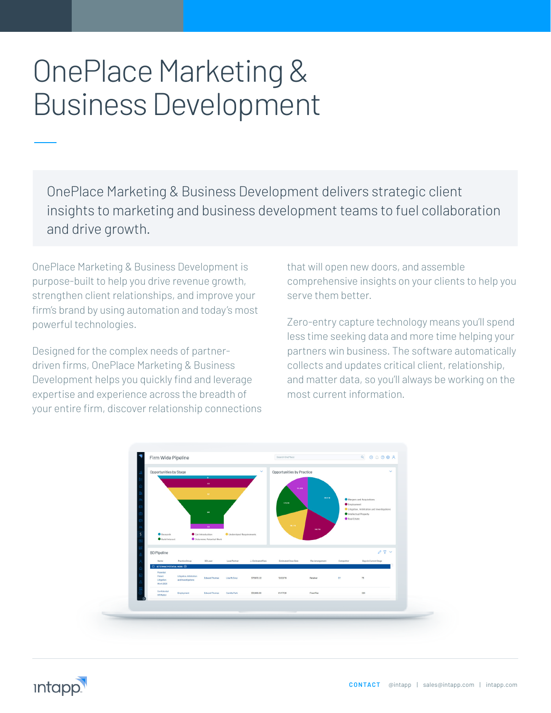# OnePlace Marketing & Business Development

OnePlace Marketing & Business Development delivers strategic client insights to marketing and business development teams to fuel collaboration and drive growth.

OnePlace Marketing & Business Development is purpose-built to help you drive revenue growth, strengthen client relationships, and improve your firm's brand by using automation and today's most powerful technologies.

Designed for the complex needs of partnerdriven firms, OnePlace Marketing & Business Development helps you quickly find and leverage expertise and experience across the breadth of your entire firm, discover relationship connections that will open new doors, and assemble comprehensive insights on your clients to help you serve them better.

Zero-entry capture technology means you'll spend less time seeking data and more time helping your partners win business. The software automatically collects and updates critical client, relationship, and matter data, so you'll always be working on the most current information.